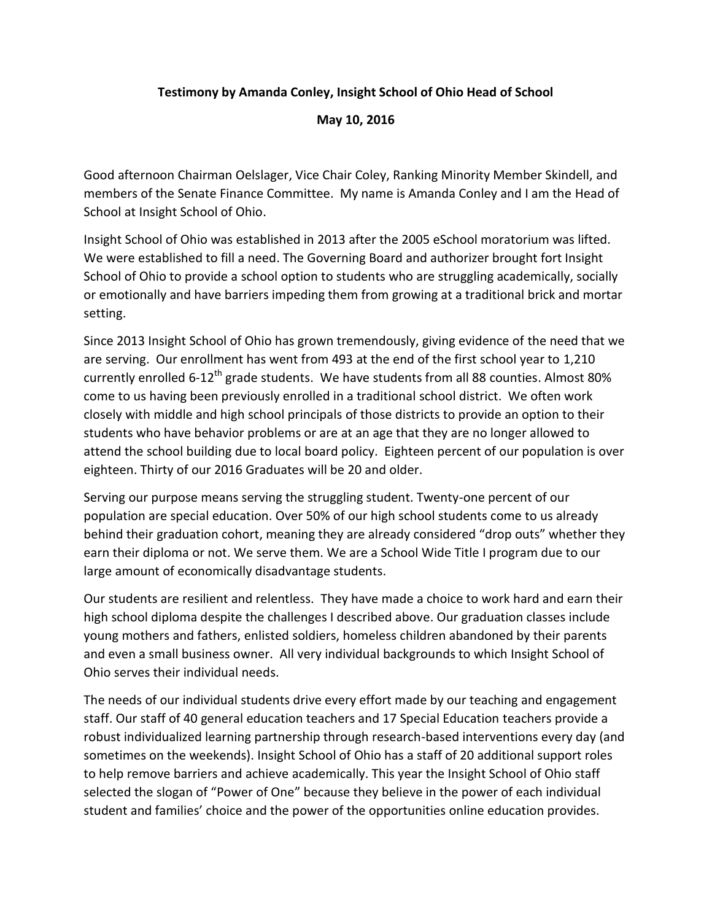## **Testimony by Amanda Conley, Insight School of Ohio Head of School**

**May 10, 2016**

Good afternoon Chairman Oelslager, Vice Chair Coley, Ranking Minority Member Skindell, and members of the Senate Finance Committee. My name is Amanda Conley and I am the Head of School at Insight School of Ohio.

Insight School of Ohio was established in 2013 after the 2005 eSchool moratorium was lifted. We were established to fill a need. The Governing Board and authorizer brought fort Insight School of Ohio to provide a school option to students who are struggling academically, socially or emotionally and have barriers impeding them from growing at a traditional brick and mortar setting.

Since 2013 Insight School of Ohio has grown tremendously, giving evidence of the need that we are serving. Our enrollment has went from 493 at the end of the first school year to 1,210 currently enrolled 6-12<sup>th</sup> grade students. We have students from all 88 counties. Almost 80% come to us having been previously enrolled in a traditional school district. We often work closely with middle and high school principals of those districts to provide an option to their students who have behavior problems or are at an age that they are no longer allowed to attend the school building due to local board policy. Eighteen percent of our population is over eighteen. Thirty of our 2016 Graduates will be 20 and older.

Serving our purpose means serving the struggling student. Twenty-one percent of our population are special education. Over 50% of our high school students come to us already behind their graduation cohort, meaning they are already considered "drop outs" whether they earn their diploma or not. We serve them. We are a School Wide Title I program due to our large amount of economically disadvantage students.

Our students are resilient and relentless. They have made a choice to work hard and earn their high school diploma despite the challenges I described above. Our graduation classes include young mothers and fathers, enlisted soldiers, homeless children abandoned by their parents and even a small business owner. All very individual backgrounds to which Insight School of Ohio serves their individual needs.

The needs of our individual students drive every effort made by our teaching and engagement staff. Our staff of 40 general education teachers and 17 Special Education teachers provide a robust individualized learning partnership through research-based interventions every day (and sometimes on the weekends). Insight School of Ohio has a staff of 20 additional support roles to help remove barriers and achieve academically. This year the Insight School of Ohio staff selected the slogan of "Power of One" because they believe in the power of each individual student and families' choice and the power of the opportunities online education provides.